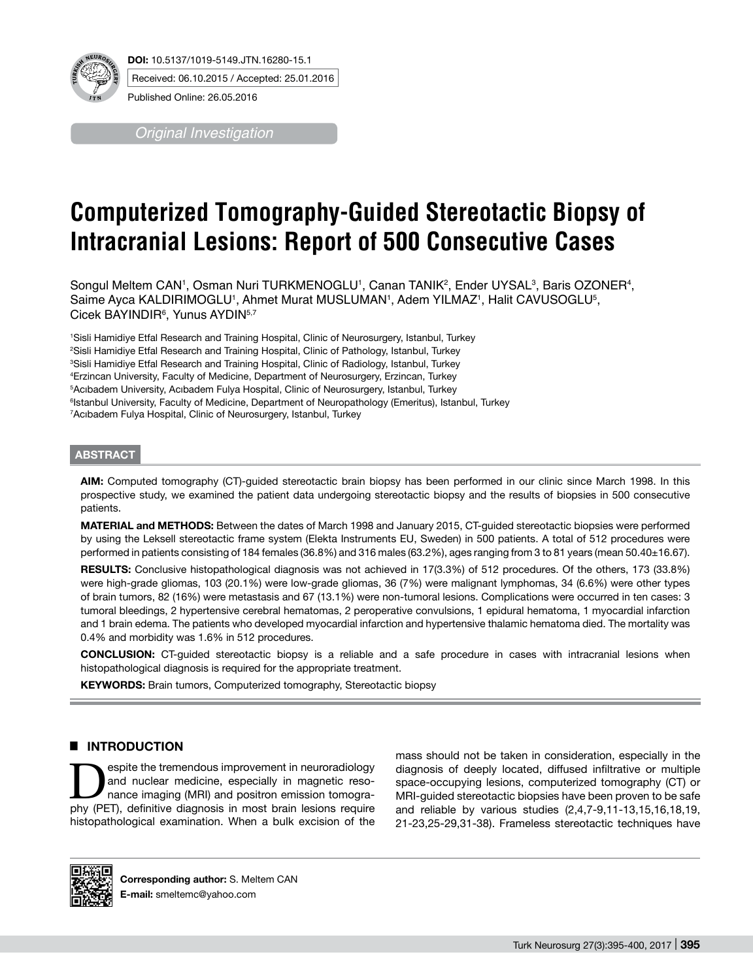

**DOI:** 10.5137/1019-5149.JTN.16280-15.1 Received: 06.10.2015 / Accepted: 25.01.2016

*Original Investigation*

# **Computerized Tomography-Guided Stereotactic Biopsy of Intracranial Lesions: Report of 500 Consecutive Cases**

Songul Meltem CAN', Osman Nuri TURKMENOGLU', Canan TANIK<sup>2</sup>, Ender UYSAL<sup>3</sup>, Baris OZONER<sup>4</sup>, Saime Ayca KALDIRIMOGLU1, Ahmet Murat MUSLUMAN1, Adem YILMAZ1, Halit CAVUSOGLU<sup>5</sup>, Cicek BAYINDIR<sup>6</sup>, Yunus AYDIN<sup>5,7</sup>

 Sisli Hamidiye Etfal Research and Training Hospital, Clinic of Neurosurgery, Istanbul, Turkey Sisli Hamidiye Etfal Research and Training Hospital, Clinic of Pathology, Istanbul, Turkey Sisli Hamidiye Etfal Research and Training Hospital, Clinic of Radiology, Istanbul, Turkey Erzincan University, Faculty of Medicine, Department of Neurosurgery, Erzincan, Turkey Acıbadem University, Acıbadem Fulya Hospital, Clinic of Neurosurgery, Istanbul, Turkey Istanbul University, Faculty of Medicine, Department of Neuropathology (Emeritus), Istanbul, Turkey Acıbadem Fulya Hospital, Clinic of Neurosurgery, Istanbul, Turkey

#### **ABSTRACT**

**AIm:** Computed tomography (CT)-guided stereotactic brain biopsy has been performed in our clinic since March 1998. In this prospective study, we examined the patient data undergoing stereotactic biopsy and the results of biopsies in 500 consecutive patients.

**MaterIal and Methods:** Between the dates of March 1998 and January 2015, CT-guided stereotactic biopsies were performed by using the Leksell stereotactic frame system (Elekta Instruments EU, Sweden) in 500 patients. A total of 512 procedures were performed in patients consisting of 184 females (36.8%) and 316 males (63.2%), ages ranging from 3 to 81 years (mean 50.40±16.67).

**Results:** Conclusive histopathological diagnosis was not achieved in 17(3.3%) of 512 procedures. Of the others, 173 (33.8%) were high-grade gliomas, 103 (20.1%) were low-grade gliomas, 36 (7%) were malignant lymphomas, 34 (6.6%) were other types of brain tumors, 82 (16%) were metastasis and 67 (13.1%) were non-tumoral lesions. Complications were occurred in ten cases: 3 tumoral bleedings, 2 hypertensive cerebral hematomas, 2 peroperative convulsions, 1 epidural hematoma, 1 myocardial infarction and 1 brain edema. The patients who developed myocardial infarction and hypertensive thalamic hematoma died. The mortality was 0.4% and morbidity was 1.6% in 512 procedures.

**ConclusIon:** CT-guided stereotactic biopsy is a reliable and a safe procedure in cases with intracranial lesions when histopathological diagnosis is required for the appropriate treatment.

**KEYWORDS:** Brain tumors, Computerized tomography, Stereotactic biopsy

# **E INTRODUCTION**

**Example Spite the tremendous improvement in neuroradiology**<br>
and nuclear medicine, especially in magnetic reso-<br>
nance imaging (MRI) and positron emission tomogra-<br>
phy (PET) definitive diagnosis in most brain lesions req and nuclear medicine, especially in magnetic resophy (PET), definitive diagnosis in most brain lesions require histopathological examination. When a bulk excision of the mass should not be taken in consideration, especially in the diagnosis of deeply located, diffused infiltrative or multiple space-occupying lesions, computerized tomography (CT) or MRI-guided stereotactic biopsies have been proven to be safe and reliable by various studies (2,4,7-9,11-13,15,16,18,19, 21-23,25-29,31-38). Frameless stereotactic techniques have



**Corresponding author:** S. Meltem CAN **E-mail:** smeltemc@yahoo.com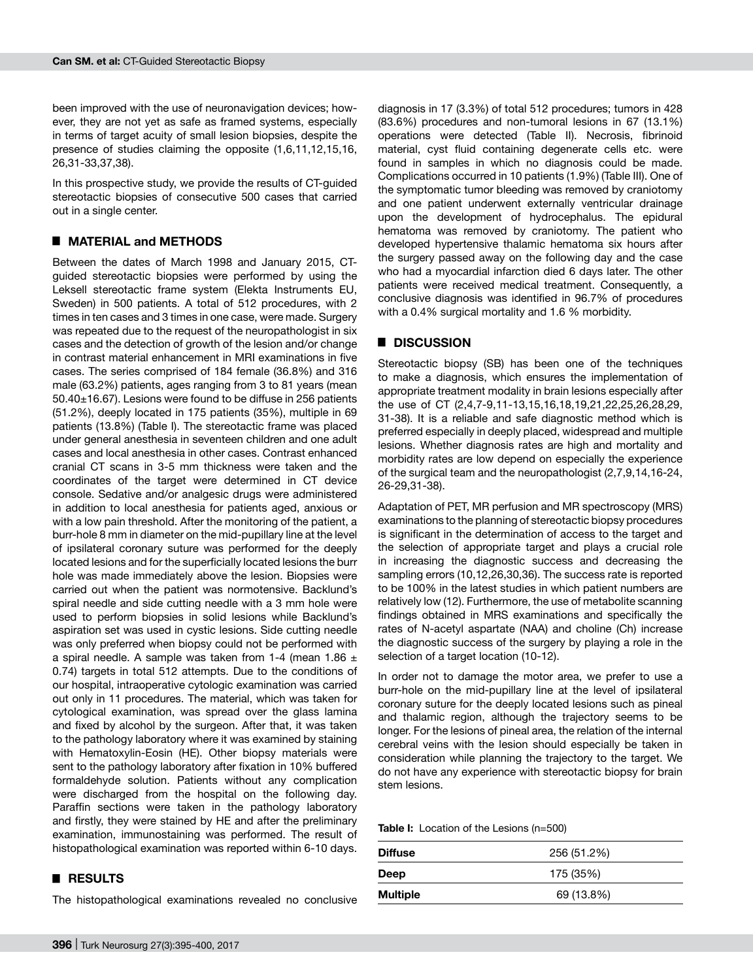been improved with the use of neuronavigation devices; however, they are not yet as safe as framed systems, especially in terms of target acuity of small lesion biopsies, despite the presence of studies claiming the opposite (1,6,11,12,15,16, 26,31-33,37,38).

In this prospective study, we provide the results of CT-guided stereotactic biopsies of consecutive 500 cases that carried out in a single center.

#### █ **MATERIAL and METHODS**

Between the dates of March 1998 and January 2015, CTguided stereotactic biopsies were performed by using the Leksell stereotactic frame system (Elekta Instruments EU, Sweden) in 500 patients. A total of 512 procedures, with 2 times in ten cases and 3 times in one case, were made. Surgery was repeated due to the request of the neuropathologist in six cases and the detection of growth of the lesion and/or change in contrast material enhancement in MRI examinations in five cases. The series comprised of 184 female (36.8%) and 316 male (63.2%) patients, ages ranging from 3 to 81 years (mean 50.40±16.67). Lesions were found to be diffuse in 256 patients (51.2%), deeply located in 175 patients (35%), multiple in 69 patients (13.8%) (Table I). The stereotactic frame was placed under general anesthesia in seventeen children and one adult cases and local anesthesia in other cases. Contrast enhanced cranial CT scans in 3-5 mm thickness were taken and the coordinates of the target were determined in CT device console. Sedative and/or analgesic drugs were administered in addition to local anesthesia for patients aged, anxious or with a low pain threshold. After the monitoring of the patient, a burr-hole 8 mm in diameter on the mid-pupillary line at the level of ipsilateral coronary suture was performed for the deeply located lesions and for the superficially located lesions the burr hole was made immediately above the lesion. Biopsies were carried out when the patient was normotensive. Backlund's spiral needle and side cutting needle with a 3 mm hole were used to perform biopsies in solid lesions while Backlund's aspiration set was used in cystic lesions. Side cutting needle was only preferred when biopsy could not be performed with a spiral needle. A sample was taken from 1-4 (mean 1.86  $\pm$ 0.74) targets in total 512 attempts. Due to the conditions of our hospital, intraoperative cytologic examination was carried out only in 11 procedures. The material, which was taken for cytological examination, was spread over the glass lamina and fixed by alcohol by the surgeon. After that, it was taken to the pathology laboratory where it was examined by staining with Hematoxylin-Eosin (HE). Other biopsy materials were sent to the pathology laboratory after fixation in 10% buffered formaldehyde solution. Patients without any complication were discharged from the hospital on the following day. Paraffin sections were taken in the pathology laboratory and firstly, they were stained by HE and after the preliminary examination, immunostaining was performed. The result of histopathological examination was reported within 6-10 days.

#### █ **RESULTS**

The histopathological examinations revealed no conclusive

diagnosis in 17 (3.3%) of total 512 procedures; tumors in 428 (83.6%) procedures and non-tumoral lesions in 67 (13.1%) operations were detected (Table II). Necrosis, fibrinoid material, cyst fluid containing degenerate cells etc. were found in samples in which no diagnosis could be made. Complications occurred in 10 patients (1.9%) (Table III). One of the symptomatic tumor bleeding was removed by craniotomy and one patient underwent externally ventricular drainage upon the development of hydrocephalus. The epidural hematoma was removed by craniotomy. The patient who developed hypertensive thalamic hematoma six hours after the surgery passed away on the following day and the case who had a myocardial infarction died 6 days later. The other patients were received medical treatment. Consequently, a conclusive diagnosis was identified in 96.7% of procedures with a 0.4% surgical mortality and 1.6 % morbidity.

### █ **DISCUSSION**

Stereotactic biopsy (SB) has been one of the techniques to make a diagnosis, which ensures the implementation of appropriate treatment modality in brain lesions especially after the use of CT (2,4,7-9,11-13,15,16,18,19,21,22,25,26,28,29, 31-38). It is a reliable and safe diagnostic method which is preferred especially in deeply placed, widespread and multiple lesions. Whether diagnosis rates are high and mortality and morbidity rates are low depend on especially the experience of the surgical team and the neuropathologist (2,7,9,14,16-24, 26-29,31-38).

Adaptation of PET, MR perfusion and MR spectroscopy (MRS) examinations to the planning of stereotactic biopsy procedures is significant in the determination of access to the target and the selection of appropriate target and plays a crucial role in increasing the diagnostic success and decreasing the sampling errors (10,12,26,30,36). The success rate is reported to be 100% in the latest studies in which patient numbers are relatively low (12). Furthermore, the use of metabolite scanning findings obtained in MRS examinations and specifically the rates of N-acetyl aspartate (NAA) and choline (Ch) increase the diagnostic success of the surgery by playing a role in the selection of a target location (10-12).

In order not to damage the motor area, we prefer to use a burr-hole on the mid-pupillary line at the level of ipsilateral coronary suture for the deeply located lesions such as pineal and thalamic region, although the trajectory seems to be longer. For the lesions of pineal area, the relation of the internal cerebral veins with the lesion should especially be taken in consideration while planning the trajectory to the target. We do not have any experience with stereotactic biopsy for brain stem lesions.

**Table I:** Location of the Lesions (n=500)

| <b>Diffuse</b>  | 256 (51.2%) |  |
|-----------------|-------------|--|
| Deep            | 175 (35%)   |  |
| <b>Multiple</b> | 69 (13.8%)  |  |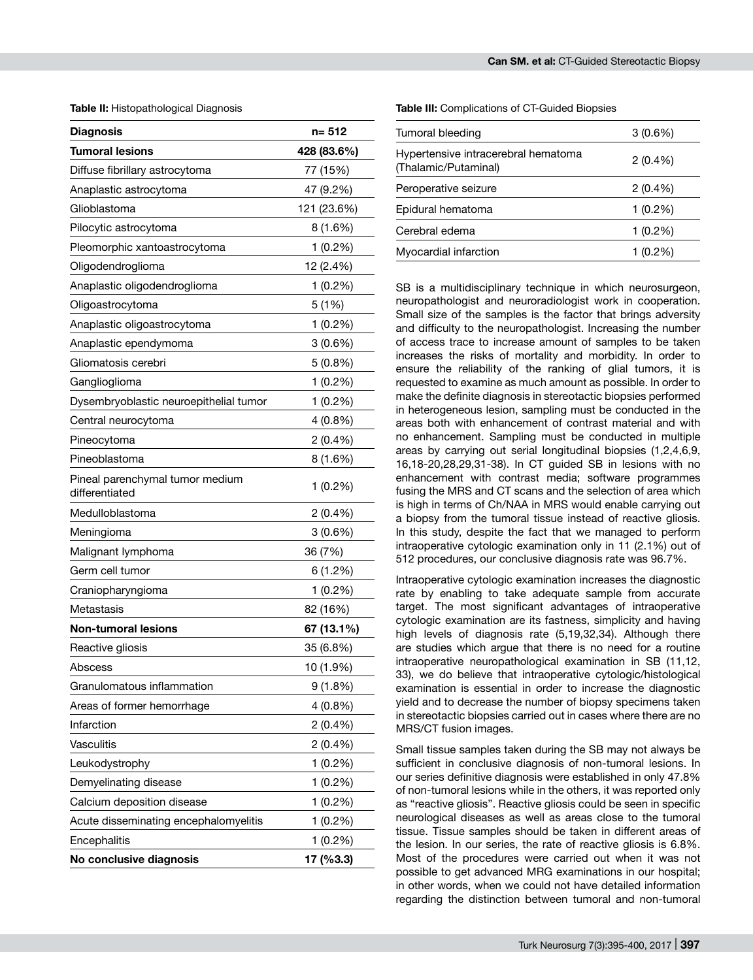**Table II:** Histopathological Diagnosis

| <b>Diagnosis</b>                                  | n= 512      |  |  |
|---------------------------------------------------|-------------|--|--|
| Tumoral lesions                                   | 428 (83.6%) |  |  |
| Diffuse fibrillary astrocytoma                    | 77 (15%)    |  |  |
| Anaplastic astrocytoma                            | 47 (9.2%)   |  |  |
| Glioblastoma                                      | 121 (23.6%) |  |  |
| Pilocytic astrocytoma                             | 8 (1.6%)    |  |  |
| Pleomorphic xantoastrocytoma                      | $1(0.2\%)$  |  |  |
| Oligodendroglioma                                 | 12 (2.4%)   |  |  |
| Anaplastic oligodendroglioma                      | $1(0.2\%)$  |  |  |
| Oligoastrocytoma                                  | 5 (1%)      |  |  |
| Anaplastic oligoastrocytoma                       | $1(0.2\%)$  |  |  |
| Anaplastic ependymoma                             | 3(0.6%)     |  |  |
| Gliomatosis cerebri                               | $5(0.8\%)$  |  |  |
| Ganglioglioma                                     | $1(0.2\%)$  |  |  |
| Dysembryoblastic neuroepithelial tumor            | 1(0.2%)     |  |  |
| Central neurocytoma                               | 4 (0.8%)    |  |  |
| Pineocytoma                                       | 2 (0.4%)    |  |  |
| Pineoblastoma                                     | 8 (1.6%)    |  |  |
| Pineal parenchymal tumor medium<br>differentiated | $1(0.2\%)$  |  |  |
| Medulloblastoma                                   | 2 (0.4%)    |  |  |
| Meningioma                                        | $3(0.6\%)$  |  |  |
| Malignant lymphoma                                | 36 (7%)     |  |  |
| Germ cell tumor                                   | 6 (1.2%)    |  |  |
| Craniopharyngioma                                 | $1(0.2\%)$  |  |  |
| Metastasis                                        | 82 (16%)    |  |  |
| Non-tumoral lesions                               | 67 (13.1%)  |  |  |
| Reactive gliosis                                  | 35 (6.8%)   |  |  |
| Abscess                                           | 10 (1.9%)   |  |  |
| Granulomatous inflammation                        | 9(1.8%)     |  |  |
| Areas of former hemorrhage                        | 4 (0.8%)    |  |  |
| Infarction                                        | 2(0.4%      |  |  |
| Vasculitis                                        | 2 (0.4%)    |  |  |
| Leukodystrophy                                    | 1 (0.2%)    |  |  |
| Demyelinating disease                             | $1(0.2\%)$  |  |  |
| Calcium deposition disease                        | 1 (0.2%)    |  |  |
| Acute disseminating encephalomyelitis             | 1 (0.2%)    |  |  |
| Encephalitis                                      | 1 (0.2%)    |  |  |
| No conclusive diagnosis                           | 17 (%3.3)   |  |  |

**Table III:** Complications of CT-Guided Biopsies

| Tumoral bleeding                                            | $3(0.6\%)$ |  |  |
|-------------------------------------------------------------|------------|--|--|
| Hypertensive intracerebral hematoma<br>(Thalamic/Putaminal) | $2(0.4\%)$ |  |  |
| Peroperative seizure                                        | $2(0.4\%)$ |  |  |
| Epidural hematoma                                           | $1(0.2\%)$ |  |  |
| Cerebral edema                                              | $1(0.2\%)$ |  |  |
| Myocardial infarction                                       | 1 (0.2%)   |  |  |

SB is a multidisciplinary technique in which neurosurgeon, neuropathologist and neuroradiologist work in cooperation. Small size of the samples is the factor that brings adversity and difficulty to the neuropathologist. Increasing the number of access trace to increase amount of samples to be taken increases the risks of mortality and morbidity. In order to ensure the reliability of the ranking of glial tumors, it is requested to examine as much amount as possible. In order to make the definite diagnosis in stereotactic biopsies performed in heterogeneous lesion, sampling must be conducted in the areas both with enhancement of contrast material and with no enhancement. Sampling must be conducted in multiple areas by carrying out serial longitudinal biopsies (1,2,4,6,9, 16,18-20,28,29,31-38). In CT guided SB in lesions with no enhancement with contrast media; software programmes fusing the MRS and CT scans and the selection of area which is high in terms of Ch/NAA in MRS would enable carrying out a biopsy from the tumoral tissue instead of reactive gliosis. In this study, despite the fact that we managed to perform intraoperative cytologic examination only in 11 (2.1%) out of 512 procedures, our conclusive diagnosis rate was 96.7%.

Intraoperative cytologic examination increases the diagnostic rate by enabling to take adequate sample from accurate target. The most significant advantages of intraoperative cytologic examination are its fastness, simplicity and having high levels of diagnosis rate (5,19,32,34). Although there are studies which argue that there is no need for a routine intraoperative neuropathological examination in SB (11,12, 33), we do believe that intraoperative cytologic/histological examination is essential in order to increase the diagnostic yield and to decrease the number of biopsy specimens taken in stereotactic biopsies carried out in cases where there are no MRS/CT fusion images.

Small tissue samples taken during the SB may not always be sufficient in conclusive diagnosis of non-tumoral lesions. In our series definitive diagnosis were established in only 47.8% of non-tumoral lesions while in the others, it was reported only as "reactive gliosis". Reactive gliosis could be seen in specific neurological diseases as well as areas close to the tumoral tissue. Tissue samples should be taken in different areas of the lesion. In our series, the rate of reactive gliosis is 6.8%. Most of the procedures were carried out when it was not possible to get advanced MRG examinations in our hospital; in other words, when we could not have detailed information regarding the distinction between tumoral and non-tumoral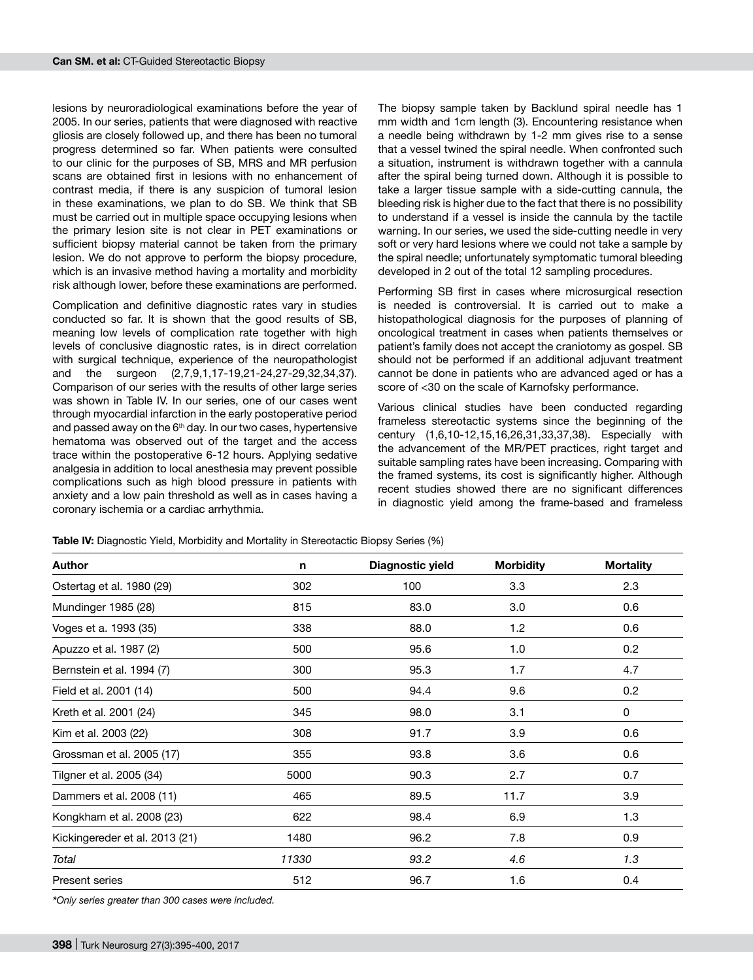lesions by neuroradiological examinations before the year of 2005. In our series, patients that were diagnosed with reactive gliosis are closely followed up, and there has been no tumoral progress determined so far. When patients were consulted to our clinic for the purposes of SB, MRS and MR perfusion scans are obtained first in lesions with no enhancement of contrast media, if there is any suspicion of tumoral lesion in these examinations, we plan to do SB. We think that SB must be carried out in multiple space occupying lesions when the primary lesion site is not clear in PET examinations or sufficient biopsy material cannot be taken from the primary lesion. We do not approve to perform the biopsy procedure, which is an invasive method having a mortality and morbidity risk although lower, before these examinations are performed.

Complication and definitive diagnostic rates vary in studies conducted so far. It is shown that the good results of SB, meaning low levels of complication rate together with high levels of conclusive diagnostic rates, is in direct correlation with surgical technique, experience of the neuropathologist<br>and the surgeon (2.7.9.1.17-19.21-24.27-29.32.34.37). the surgeon (2,7,9,1,17-19,21-24,27-29,32,34,37). Comparison of our series with the results of other large series was shown in Table IV. In our series, one of our cases went through myocardial infarction in the early postoperative period and passed away on the  $6<sup>th</sup>$  day. In our two cases, hypertensive hematoma was observed out of the target and the access trace within the postoperative 6-12 hours. Applying sedative analgesia in addition to local anesthesia may prevent possible complications such as high blood pressure in patients with anxiety and a low pain threshold as well as in cases having a coronary ischemia or a cardiac arrhythmia.

The biopsy sample taken by Backlund spiral needle has 1 mm width and 1cm length (3). Encountering resistance when a needle being withdrawn by 1-2 mm gives rise to a sense that a vessel twined the spiral needle. When confronted such a situation, instrument is withdrawn together with a cannula after the spiral being turned down. Although it is possible to take a larger tissue sample with a side-cutting cannula, the bleeding risk is higher due to the fact that there is no possibility to understand if a vessel is inside the cannula by the tactile warning. In our series, we used the side-cutting needle in very soft or very hard lesions where we could not take a sample by the spiral needle; unfortunately symptomatic tumoral bleeding developed in 2 out of the total 12 sampling procedures.

Performing SB first in cases where microsurgical resection is needed is controversial. It is carried out to make a histopathological diagnosis for the purposes of planning of oncological treatment in cases when patients themselves or patient's family does not accept the craniotomy as gospel. SB should not be performed if an additional adjuvant treatment cannot be done in patients who are advanced aged or has a score of <30 on the scale of Karnofsky performance.

Various clinical studies have been conducted regarding frameless stereotactic systems since the beginning of the century (1,6,10-12,15,16,26,31,33,37,38). Especially with the advancement of the MR/PET practices, right target and suitable sampling rates have been increasing. Comparing with the framed systems, its cost is significantly higher. Although recent studies showed there are no significant differences in diagnostic yield among the frame-based and frameless

**Table IV:** Diagnostic Yield, Morbidity and Mortality in Stereotactic Biopsy Series (%)

| <b>Author</b>                  | n     | Diagnostic yield | <b>Morbidity</b> | <b>Mortality</b> |
|--------------------------------|-------|------------------|------------------|------------------|
| Ostertag et al. 1980 (29)      | 302   | 100              | 3.3              | 2.3              |
| Mundinger 1985 (28)            | 815   | 83.0             | 3.0              | 0.6              |
| Voges et a. 1993 (35)          | 338   | 88.0             | 1.2              | 0.6              |
| Apuzzo et al. 1987 (2)         | 500   | 95.6             | 1.0              | 0.2              |
| Bernstein et al. 1994 (7)      | 300   | 95.3             | 1.7              | 4.7              |
| Field et al. 2001 (14)         | 500   | 94.4             | 9.6              | 0.2              |
| Kreth et al. 2001 (24)         | 345   | 98.0             | 3.1              | 0                |
| Kim et al. 2003 (22)           | 308   | 91.7             | 3.9              | 0.6              |
| Grossman et al. 2005 (17)      | 355   | 93.8             | 3.6              | 0.6              |
| Tilgner et al. 2005 (34)       | 5000  | 90.3             | 2.7              | 0.7              |
| Dammers et al. 2008 (11)       | 465   | 89.5             | 11.7             | 3.9              |
| Kongkham et al. 2008 (23)      | 622   | 98.4             | 6.9              | 1.3              |
| Kickingereder et al. 2013 (21) | 1480  | 96.2             | 7.8              | 0.9              |
| Total                          | 11330 | 93.2             | 4.6              | 1.3              |
| Present series                 | 512   | 96.7             | 1.6              | 0.4              |

*\*Only series greater than 300 cases were included.*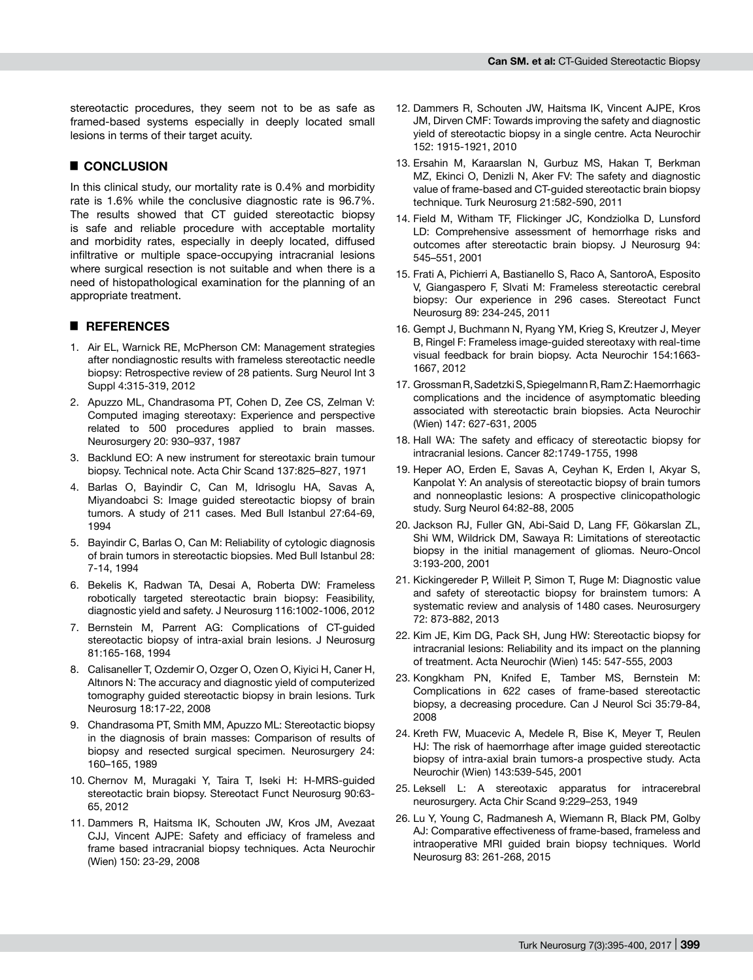stereotactic procedures, they seem not to be as safe as framed-based systems especially in deeply located small lesions in terms of their target acuity.

# █ **CONCLUSION**

In this clinical study, our mortality rate is 0.4% and morbidity rate is 1.6% while the conclusive diagnostic rate is 96.7%. The results showed that CT guided stereotactic biopsy is safe and reliable procedure with acceptable mortality and morbidity rates, especially in deeply located, diffused infiltrative or multiple space-occupying intracranial lesions where surgical resection is not suitable and when there is a need of histopathological examination for the planning of an appropriate treatment.

## █ **REFERENCES**

- 1. Air EL, Warnick RE, McPherson CM: Management strategies after nondiagnostic results with frameless stereotactic needle biopsy: Retrospective review of 28 patients. Surg Neurol Int 3 Suppl 4:315-319, 2012
- 2. Apuzzo ML, Chandrasoma PT, Cohen D, Zee CS, Zelman V: Computed imaging stereotaxy: Experience and perspective related to 500 procedures applied to brain masses. Neurosurgery 20: 930–937, 1987
- 3. Backlund EO: A new instrument for stereotaxic brain tumour biopsy. Technical note. Acta Chir Scand 137:825–827, 1971
- 4. Barlas O, Bayindir C, Can M, Idrisoglu HA, Savas A, Miyandoabci S: Image guided stereotactic biopsy of brain tumors. A study of 211 cases. Med Bull Istanbul 27:64-69, 1994
- 5. Bayindir C, Barlas O, Can M: Reliability of cytologic diagnosis of brain tumors in stereotactic biopsies. Med Bull Istanbul 28: 7-14, 1994
- 6. Bekelis K, Radwan TA, Desai A, Roberta DW: Frameless robotically targeted stereotactic brain biopsy: Feasibility, diagnostic yield and safety. J Neurosurg 116:1002-1006, 2012
- 7. Bernstein M, Parrent AG: Complications of CT-guided stereotactic biopsy of intra-axial brain lesions. J Neurosurg 81:165-168, 1994
- 8. Calisaneller T, Ozdemir O, Ozger O, Ozen O, Kiyici H, Caner H, Altınors N: The accuracy and diagnostic yield of computerized tomography guided stereotactic biopsy in brain lesions. Turk Neurosurg 18:17-22, 2008
- 9. Chandrasoma PT, Smith MM, Apuzzo ML: Stereotactic biopsy in the diagnosis of brain masses: Comparison of results of biopsy and resected surgical specimen. Neurosurgery 24: 160–165, 1989
- 10. Chernov M, Muragaki Y, Taira T, Iseki H: H-MRS-guided stereotactic brain biopsy. Stereotact Funct Neurosurg 90:63- 65, 2012
- 11. Dammers R, Haitsma IK, Schouten JW, Kros JM, Avezaat CJJ, Vincent AJPE: Safety and efficiacy of frameless and frame based intracranial biopsy techniques. Acta Neurochir (Wien) 150: 23-29, 2008
- 12. Dammers R, Schouten JW, Haitsma IK, Vincent AJPE, Kros JM, Dirven CMF: Towards improving the safety and diagnostic yield of stereotactic biopsy in a single centre. Acta Neurochir 152: 1915-1921, 2010
- 13. Ersahin M, Karaarslan N, Gurbuz MS, Hakan T, Berkman MZ, Ekinci O, Denizli N, Aker FV: The safety and diagnostic value of frame-based and CT-guided stereotactic brain biopsy technique. Turk Neurosurg 21:582-590, 2011
- 14. Field M, Witham TF, Flickinger JC, Kondziolka D, Lunsford LD: Comprehensive assessment of hemorrhage risks and outcomes after stereotactic brain biopsy. J Neurosurg 94: 545–551, 2001
- 15. Frati A, Pichierri A, Bastianello S, Raco A, SantoroA, Esposito V, Giangaspero F, Slvati M: Frameless stereotactic cerebral biopsy: Our experience in 296 cases. Stereotact Funct Neurosurg 89: 234-245, 2011
- 16. Gempt J, Buchmann N, Ryang YM, Krieg S, Kreutzer J, Meyer B, Ringel F: Frameless image-guided stereotaxy with real-time visual feedback for brain biopsy. Acta Neurochir 154:1663- 1667, 2012
- 17. Grossman R, Sadetzki S, Spiegelmann R, Ram Z: Haemorrhagic complications and the incidence of asymptomatic bleeding associated with stereotactic brain biopsies. Acta Neurochir (Wien) 147: 627-631, 2005
- 18. Hall WA: The safety and efficacy of stereotactic biopsy for intracranial lesions. Cancer 82:1749-1755, 1998
- 19. Heper AO, Erden E, Savas A, Ceyhan K, Erden I, Akyar S, Kanpolat Y: An analysis of stereotactic biopsy of brain tumors and nonneoplastic lesions: A prospective clinicopathologic study. Surg Neurol 64:82-88, 2005
- 20. Jackson RJ, Fuller GN, Abi-Said D, Lang FF, Gökarslan ZL, Shi WM, Wildrick DM, Sawaya R: Limitations of stereotactic biopsy in the initial management of gliomas. Neuro-Oncol 3:193-200, 2001
- 21. Kickingereder P, Willeit P, Simon T, Ruge M: Diagnostic value and safety of stereotactic biopsy for brainstem tumors: A systematic review and analysis of 1480 cases. Neurosurgery 72: 873-882, 2013
- 22. Kim JE, Kim DG, Pack SH, Jung HW: Stereotactic biopsy for intracranial lesions: Reliability and its impact on the planning of treatment. Acta Neurochir (Wien) 145: 547-555, 2003
- 23. Kongkham PN, Knifed E, Tamber MS, Bernstein M: Complications in 622 cases of frame-based stereotactic biopsy, a decreasing procedure. Can J Neurol Sci 35:79-84, 2008
- 24. Kreth FW, Muacevic A, Medele R, Bise K, Meyer T, Reulen HJ: The risk of haemorrhage after image guided stereotactic biopsy of intra-axial brain tumors-a prospective study. Acta Neurochir (Wien) 143:539-545, 2001
- 25. Leksell L: A stereotaxic apparatus for intracerebral neurosurgery. Acta Chir Scand 9:229–253, 1949
- 26. Lu Y, Young C, Radmanesh A, Wiemann R, Black PM, Golby AJ: Comparative effectiveness of frame-based, frameless and intraoperative MRI guided brain biopsy techniques. World Neurosurg 83: 261-268, 2015